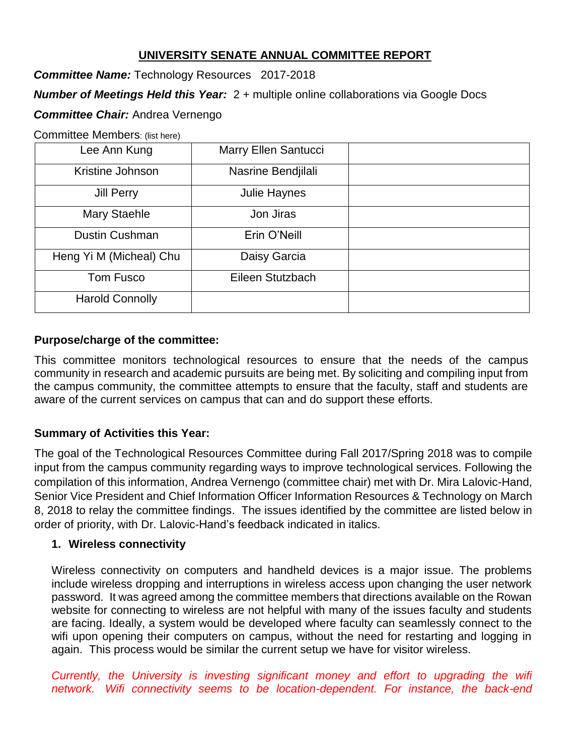# **UNIVERSITY SENATE ANNUAL COMMITTEE REPORT**

*Committee Name:* Technology Resources2017-2018

*Number of Meetings Held this Year:* 2 + multiple online collaborations via Google Docs

# *Committee Chair:* Andrea Vernengo

Committee Members: (list here)

| Lee Ann Kung            | Marry Ellen Santucci |  |
|-------------------------|----------------------|--|
| Kristine Johnson        | Nasrine Bendjilali   |  |
| <b>Jill Perry</b>       | Julie Haynes         |  |
| <b>Mary Staehle</b>     | Jon Jiras            |  |
| <b>Dustin Cushman</b>   | Erin O'Neill         |  |
| Heng Yi M (Micheal) Chu | Daisy Garcia         |  |
| Tom Fusco               | Eileen Stutzbach     |  |
| <b>Harold Connolly</b>  |                      |  |

## **Purpose/charge of the committee:**

This committee monitors technological resources to ensure that the needs of the campus community in research and academic pursuits are being met. By soliciting and compiling input from the campus community, the committee attempts to ensure that the faculty, staff and students are aware of the current services on campus that can and do support these efforts.

## **Summary of Activities this Year:**

The goal of the Technological Resources Committee during Fall 2017/Spring 2018 was to compile input from the campus community regarding ways to improve technological services. Following the compilation of this information, Andrea Vernengo (committee chair) met with Dr. Mira Lalovic-Hand, Senior Vice President and Chief Information Officer Information Resources & Technology on March 8, 2018 to relay the committee findings. The issues identified by the committee are listed below in order of priority, with Dr. Lalovic-Hand's feedback indicated in italics.

## **1. Wireless connectivity**

Wireless connectivity on computers and handheld devices is a major issue. The problems include wireless dropping and interruptions in wireless access upon changing the user network password. It was agreed among the committee members that directions available on the Rowan website for connecting to wireless are not helpful with many of the issues faculty and students are facing. Ideally, a system would be developed where faculty can seamlessly connect to the wifi upon opening their computers on campus, without the need for restarting and logging in again. This process would be similar the current setup we have for visitor wireless.

*Currently, the University is investing significant money and effort to upgrading the wifi network. Wifi connectivity seems to be location-dependent. For instance, the back-end*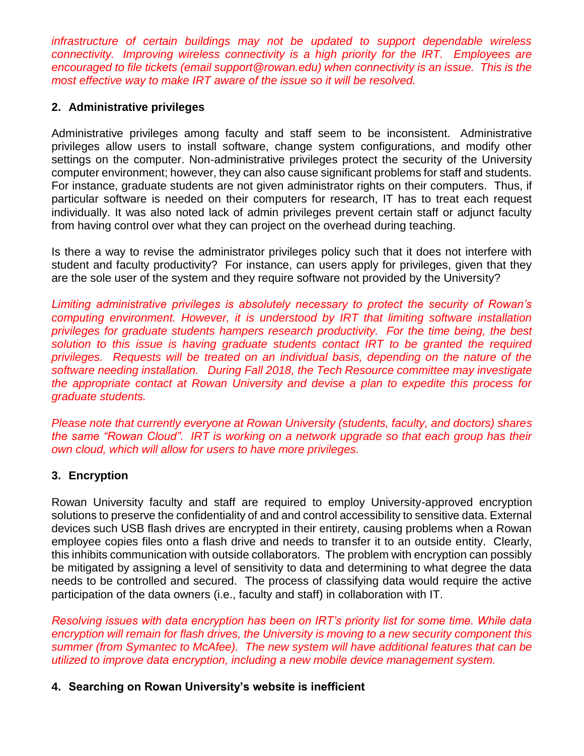*infrastructure of certain buildings may not be updated to support dependable wireless connectivity. Improving wireless connectivity is a high priority for the IRT. Employees are encouraged to file tickets (email support@rowan.edu) when connectivity is an issue. This is the most effective way to make IRT aware of the issue so it will be resolved.*

## **2. Administrative privileges**

Administrative privileges among faculty and staff seem to be inconsistent. Administrative privileges allow users to install software, change system configurations, and modify other settings on the computer. Non-administrative privileges protect the security of the University computer environment; however, they can also cause significant problems for staff and students. For instance, graduate students are not given administrator rights on their computers. Thus, if particular software is needed on their computers for research, IT has to treat each request individually. It was also noted lack of admin privileges prevent certain staff or adjunct faculty from having control over what they can project on the overhead during teaching.

Is there a way to revise the administrator privileges policy such that it does not interfere with student and faculty productivity? For instance, can users apply for privileges, given that they are the sole user of the system and they require software not provided by the University?

*Limiting administrative privileges is absolutely necessary to protect the security of Rowan's computing environment. However, it is understood by IRT that limiting software installation privileges for graduate students hampers research productivity. For the time being, the best solution to this issue is having graduate students contact IRT to be granted the required privileges. Requests will be treated on an individual basis, depending on the nature of the software needing installation. During Fall 2018, the Tech Resource committee may investigate the appropriate contact at Rowan University and devise a plan to expedite this process for graduate students.*

*Please note that currently everyone at Rowan University (students, faculty, and doctors) shares the same "Rowan Cloud". IRT is working on a network upgrade so that each group has their own cloud, which will allow for users to have more privileges.* 

## **3. Encryption**

Rowan University faculty and staff are required to employ University-approved encryption solutions to preserve the confidentiality of and and control accessibility to sensitive data. External devices such USB flash drives are encrypted in their entirety, causing problems when a Rowan employee copies files onto a flash drive and needs to transfer it to an outside entity. Clearly, this inhibits communication with outside collaborators. The problem with encryption can possibly be mitigated by assigning a level of sensitivity to data and determining to what degree the data needs to be controlled and secured. The process of classifying data would require the active participation of the data owners (i.e., faculty and staff) in collaboration with IT.

*Resolving issues with data encryption has been on IRT's priority list for some time. While data encryption will remain for flash drives, the University is moving to a new security component this summer (from Symantec to McAfee). The new system will have additional features that can be utilized to improve data encryption, including a new mobile device management system.* 

## **4. Searching on Rowan University's website is inefficient**